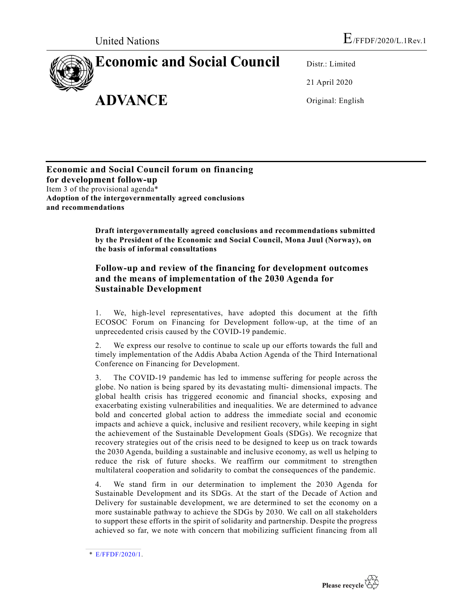## **Economic and Social Council**

**ADVANCE**

Distr.: Limited 21 April 2020

Original: English

**Economic and Social Council forum on financing for development follow-up** Item 3 of the provisional agenda\* **Adoption of the intergovernmentally agreed conclusions and recommendations**

> **Draft intergovernmentally agreed conclusions and recommendations submitted by the President of the Economic and Social Council, Mona Juul (Norway), on the basis of informal consultations**

## **Follow-up and review of the financing for development outcomes and the means of implementation of the 2030 Agenda for Sustainable Development**

1. We, high-level representatives, have adopted this document at the fifth ECOSOC Forum on Financing for Development follow-up, at the time of an unprecedented crisis caused by the COVID-19 pandemic.

2. We express our resolve to continue to scale up our efforts towards the full and timely implementation of the Addis Ababa Action Agenda of the Third International Conference on Financing for Development.

3. The COVID-19 pandemic has led to immense suffering for people across the globe. No nation is being spared by its devastating multi- dimensional impacts. The global health crisis has triggered economic and financial shocks, exposing and exacerbating existing vulnerabilities and inequalities. We are determined to advance bold and concerted global action to address the immediate social and economic impacts and achieve a quick, inclusive and resilient recovery, while keeping in sight the achievement of the Sustainable Development Goals (SDGs). We recognize that recovery strategies out of the crisis need to be designed to keep us on track towards the 2030 Agenda, building a sustainable and inclusive economy, as well us helping to reduce the risk of future shocks. We reaffirm our commitment to strengthen multilateral cooperation and solidarity to combat the consequences of the pandemic.

4. We stand firm in our determination to implement the 2030 Agenda for Sustainable Development and its SDGs. At the start of the Decade of Action and Delivery for sustainable development, we are determined to set the economy on a more sustainable pathway to achieve the SDGs by 2030. We call on all stakeholders to support these efforts in the spirit of solidarity and partnership. Despite the progress achieved so far, we note with concern that mobilizing sufficient financing from all



<sup>\*</sup> E/FFDF/2020/1.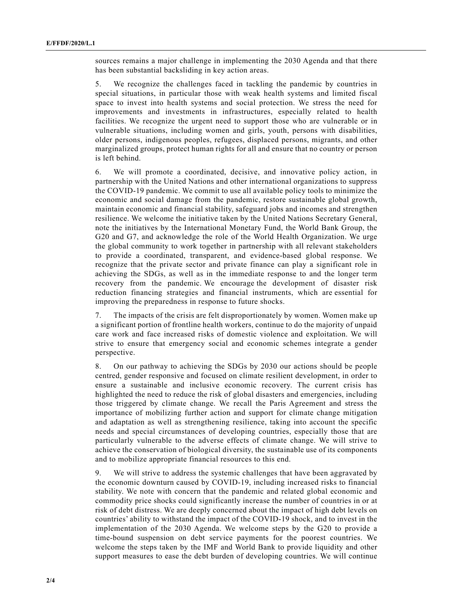sources remains a major challenge in implementing the 2030 Agenda and that there has been substantial backsliding in key action areas.

5. We recognize the challenges faced in tackling the pandemic by countries in special situations, in particular those with weak health systems and limited fiscal space to invest into health systems and social protection. We stress the need for improvements and investments in infrastructures, especially related to health facilities. We recognize the urgent need to support those who are vulnerable or in vulnerable situations, including women and girls, youth, persons with disabilities, older persons, indigenous peoples, refugees, displaced persons, migrants, and other marginalized groups, protect human rights for all and ensure that no country or person is left behind.

6. We will promote a coordinated, decisive, and innovative policy action, in partnership with the United Nations and other international organizations to suppress the COVID-19 pandemic. We commit to use all available policy tools to minimize the economic and social damage from the pandemic, restore sustainable global growth, maintain economic and financial stability, safeguard jobs and incomes and strengthen resilience. We welcome the initiative taken by the United Nations Secretary General, note the initiatives by the International Monetary Fund, the World Bank Group, the G20 and G7, and acknowledge the role of the World Health Organization. We urge the global community to work together in partnership with all relevant stakeholders to provide a coordinated, transparent, and evidence-based global response. We recognize that the private sector and private finance can play a significant role in achieving the SDGs, as well as in the immediate response to and the longer term recovery from the pandemic. We encourage the development of disaster risk reduction financing strategies and financial instruments, which are essential for improving the preparedness in response to future shocks.

7. The impacts of the crisis are felt disproportionately by women. Women make up a significant portion of frontline health workers, continue to do the majority of unpaid care work and face increased risks of domestic violence and exploitation. We will strive to ensure that emergency social and economic schemes integrate a gender perspective.

8. On our pathway to achieving the SDGs by 2030 our actions should be people centred, gender responsive and focused on climate resilient development, in order to ensure a sustainable and inclusive economic recovery. The current crisis has highlighted the need to reduce the risk of global disasters and emergencies, including those triggered by climate change. We recall the Paris Agreement and stress the importance of mobilizing further action and support for climate change mitigation and adaptation as well as strengthening resilience, taking into account the specific needs and special circumstances of developing countries, especially those that are particularly vulnerable to the adverse effects of climate change. We will strive to achieve the conservation of biological diversity, the sustainable use of its components and to mobilize appropriate financial resources to this end.

9. We will strive to address the systemic challenges that have been aggravated by the economic downturn caused by COVID-19, including increased risks to financial stability. We note with concern that the pandemic and related global economic and commodity price shocks could significantly increase the number of countries in or at risk of debt distress. We are deeply concerned about the impact of high debt levels on countries' ability to withstand the impact of the COVID-19 shock, and to invest in the implementation of the 2030 Agenda. We welcome steps by the G20 to provide a time-bound suspension on debt service payments for the poorest countries. We welcome the steps taken by the IMF and World Bank to provide liquidity and other support measures to ease the debt burden of developing countries. We will continue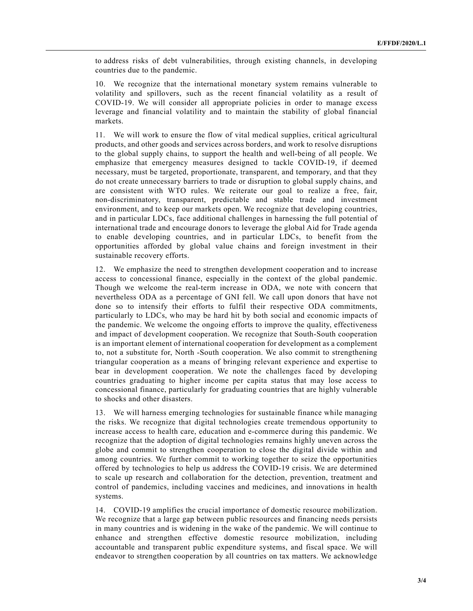to address risks of debt vulnerabilities, through existing channels, in developing countries due to the pandemic.

10. We recognize that the international monetary system remains vulnerable to volatility and spillovers, such as the recent financial volatility as a result of COVID-19. We will consider all appropriate policies in order to manage excess leverage and financial volatility and to maintain the stability of global financial markets.

11. We will work to ensure the flow of vital medical supplies, critical agricultural products, and other goods and services across borders, and work to resolve disruptions to the global supply chains, to support the health and well-being of all people. We emphasize that emergency measures designed to tackle COVID-19, if deemed necessary, must be targeted, proportionate, transparent, and temporary, and that they do not create unnecessary barriers to trade or disruption to global supply chains, and are consistent with WTO rules. We reiterate our goal to realize a free, fair, non-discriminatory, transparent, predictable and stable trade and investment environment, and to keep our markets open. We recognize that developing countries, and in particular LDCs, face additional challenges in harnessing the full potential of international trade and encourage donors to leverage the global Aid for Trade agenda to enable developing countries, and in particular LDCs, to benefit from the opportunities afforded by global value chains and foreign investment in their sustainable recovery efforts.

12. We emphasize the need to strengthen development cooperation and to increase access to concessional finance, especially in the context of the global pandemic. Though we welcome the real-term increase in ODA, we note with concern that nevertheless ODA as a percentage of GNI fell. We call upon donors that have not done so to intensify their efforts to fulfil their respective ODA commitments, particularly to LDCs, who may be hard hit by both social and economic impacts of the pandemic. We welcome the ongoing efforts to improve the quality, effectiveness and impact of development cooperation. We recognize that South-South cooperation is an important element of international cooperation for development as a complement to, not a substitute for, North -South cooperation. We also commit to strengthening triangular cooperation as a means of bringing relevant experience and expertise to bear in development cooperation. We note the challenges faced by developing countries graduating to higher income per capita status that may lose access to concessional finance, particularly for graduating countries that are highly vulnerable to shocks and other disasters.

13. We will harness emerging technologies for sustainable finance while managing the risks. We recognize that digital technologies create tremendous opportunity to increase access to health care, education and e-commerce during this pandemic. We recognize that the adoption of digital technologies remains highly uneven across the globe and commit to strengthen cooperation to close the digital divide within and among countries. We further commit to working together to seize the opportunities offered by technologies to help us address the COVID-19 crisis. We are determined to scale up research and collaboration for the detection, prevention, treatment and control of pandemics, including vaccines and medicines, and innovations in health systems.

14. COVID-19 amplifies the crucial importance of domestic resource mobilization. We recognize that a large gap between public resources and financing needs persists in many countries and is widening in the wake of the pandemic. We will continue to enhance and strengthen effective domestic resource mobilization, including accountable and transparent public expenditure systems, and fiscal space. We will endeavor to strengthen cooperation by all countries on tax matters. We acknowledge